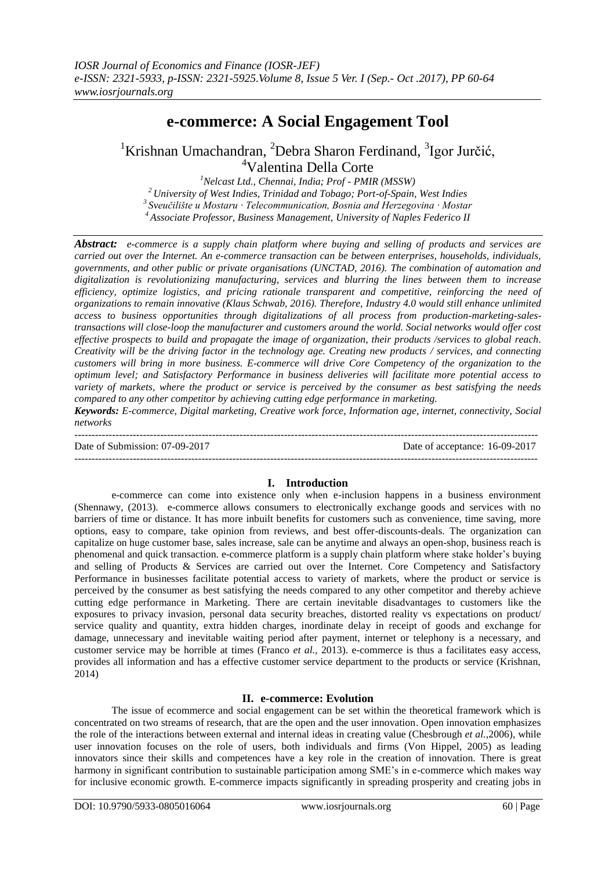# **e-commerce: A Social Engagement Tool**

<sup>1</sup>Krishnan Umachandran, <sup>2</sup>Debra Sharon Ferdinand, <sup>3</sup>Igor Jurčić, <sup>4</sup>Valentina Della Corte

*Nelcast Ltd., Chennai, India; Prof - PMIR (MSSW) University of West Indies, Trinidad and Tobago; Port-of-Spain, West Indies Sveučilište u Mostaru · Telecommunication, Bosnia and Herzegovina · Mostar Associate Professor, Business Management, University of Naples Federico II*

*Abstract: e-commerce is a supply chain platform where buying and selling of products and services are carried out over the Internet. An e-commerce transaction can be between enterprises, households, individuals, governments, and other public or private organisations (UNCTAD, 2016). The combination of automation and digitalization is revolutionizing manufacturing, services and blurring the lines between them to increase efficiency, optimize logistics, and pricing rationale transparent and competitive, reinforcing the need of organizations to remain innovative (Klaus Schwab, 2016). Therefore, Industry 4.0 would still enhance unlimited access to business opportunities through digitalizations of all process from production-marketing-salestransactions will close-loop the manufacturer and customers around the world. Social networks would offer cost effective prospects to build and propagate the image of organization, their products /services to global reach. Creativity will be the driving factor in the technology age. Creating new products / services, and connecting customers will bring in more business. E-commerce will drive Core Competency of the organization to the optimum level; and Satisfactory Performance in business deliveries will facilitate more potential access to variety of markets, where the product or service is perceived by the consumer as best satisfying the needs compared to any other competitor by achieving cutting edge performance in marketing.*

*Keywords: E-commerce, Digital marketing, Creative work force, Information age, internet, connectivity, Social networks* 

| Date of Submission: 07-09-2017 | Date of acceptance: 16-09-2017 |
|--------------------------------|--------------------------------|
|                                |                                |

# **I. Introduction**

e-commerce can come into existence only when e-inclusion happens in a business environment (Shennawy, (2013). e-commerce allows consumers to electronically exchange goods and services with no barriers of time or distance. It has more inbuilt benefits for customers such as convenience, time saving, more options, easy to compare, take opinion from reviews, and best offer-discounts-deals. The organization can capitalize on huge customer base, sales increase, sale can be anytime and always an open-shop, business reach is phenomenal and quick transaction. e-commerce platform is a supply chain platform where stake holder's buying and selling of Products & Services are carried out over the Internet. Core Competency and Satisfactory Performance in businesses facilitate potential access to variety of markets, where the product or service is perceived by the consumer as best satisfying the needs compared to any other competitor and thereby achieve cutting edge performance in Marketing. There are certain inevitable disadvantages to customers like the exposures to privacy invasion, personal data security breaches, distorted reality vs expectations on product/ service quality and quantity, extra hidden charges, inordinate delay in receipt of goods and exchange for damage, unnecessary and inevitable waiting period after payment, internet or telephony is a necessary, and customer service may be horrible at times (Franco *et al.,* 2013). e-commerce is thus a facilitates easy access, provides all information and has a effective customer service department to the products or service (Krishnan, 2014)

## **II. e-commerce: Evolution**

The issue of ecommerce and social engagement can be set within the theoretical framework which is concentrated on two streams of research, that are the open and the user innovation. Open innovation emphasizes the role of the interactions between external and internal ideas in creating value (Chesbrough *et al.,*2006), while user innovation focuses on the role of users, both individuals and firms (Von Hippel, 2005) as leading innovators since their skills and competences have a key role in the creation of innovation. There is great harmony in significant contribution to sustainable participation among SME's in e-commerce which makes way for inclusive economic growth. E-commerce impacts significantly in spreading prosperity and creating jobs in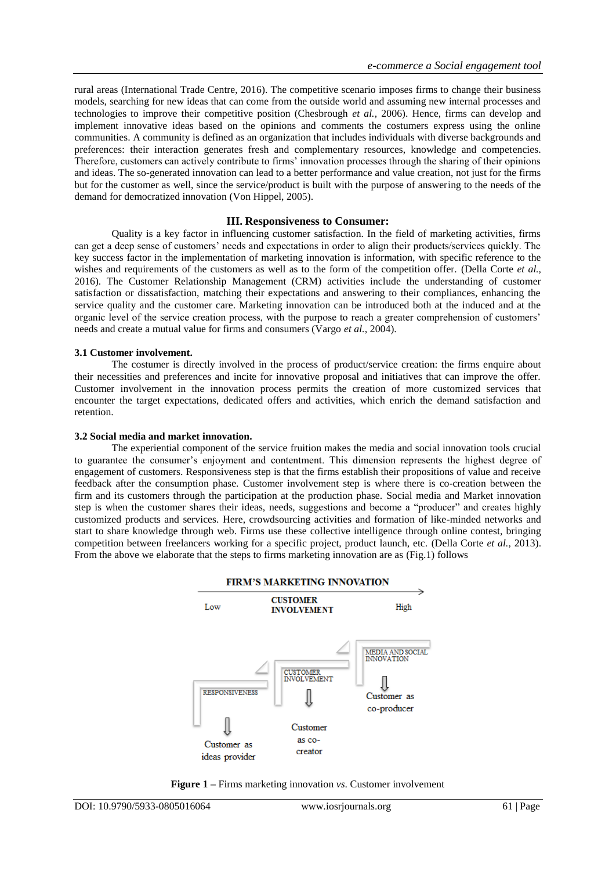rural areas (International Trade Centre, 2016). The competitive scenario imposes firms to change their business models, searching for new ideas that can come from the outside world and assuming new internal processes and technologies to improve their competitive position (Chesbrough *et al.,* 2006). Hence, firms can develop and implement innovative ideas based on the opinions and comments the costumers express using the online communities. A community is defined as an organization that includes individuals with diverse backgrounds and preferences: their interaction generates fresh and complementary resources, knowledge and competencies. Therefore, customers can actively contribute to firms' innovation processes through the sharing of their opinions and ideas. The so-generated innovation can lead to a better performance and value creation, not just for the firms but for the customer as well, since the service/product is built with the purpose of answering to the needs of the demand for democratized innovation (Von Hippel, 2005).

## **III. Responsiveness to Consumer:**

Quality is a key factor in influencing customer satisfaction. In the field of marketing activities, firms can get a deep sense of customers' needs and expectations in order to align their products/services quickly. The key success factor in the implementation of marketing innovation is information, with specific reference to the wishes and requirements of the customers as well as to the form of the competition offer. (Della Corte *et al.*, 2016). The Customer Relationship Management (CRM) activities include the understanding of customer satisfaction or dissatisfaction, matching their expectations and answering to their compliances, enhancing the service quality and the customer care. Marketing innovation can be introduced both at the induced and at the organic level of the service creation process, with the purpose to reach a greater comprehension of customers' needs and create a mutual value for firms and consumers (Vargo *et al.,* 2004).

#### **3.1 Customer involvement.**

The costumer is directly involved in the process of product/service creation: the firms enquire about their necessities and preferences and incite for innovative proposal and initiatives that can improve the offer. Customer involvement in the innovation process permits the creation of more customized services that encounter the target expectations, dedicated offers and activities, which enrich the demand satisfaction and retention.

#### **3.2 Social media and market innovation.**

The experiential component of the service fruition makes the media and social innovation tools crucial to guarantee the consumer's enjoyment and contentment. This dimension represents the highest degree of engagement of customers. Responsiveness step is that the firms establish their propositions of value and receive feedback after the consumption phase. Customer involvement step is where there is co-creation between the firm and its customers through the participation at the production phase. Social media and Market innovation step is when the customer shares their ideas, needs, suggestions and become a "producer" and creates highly customized products and services. Here, crowdsourcing activities and formation of like-minded networks and start to share knowledge through web. Firms use these collective intelligence through online contest, bringing competition between freelancers working for a specific project, product launch, etc. (Della Corte *et al.,* 2013). From the above we elaborate that the steps to firms marketing innovation are as (Fig.1) follows



**Figure 1 –** Firms marketing innovation *vs*. Customer involvement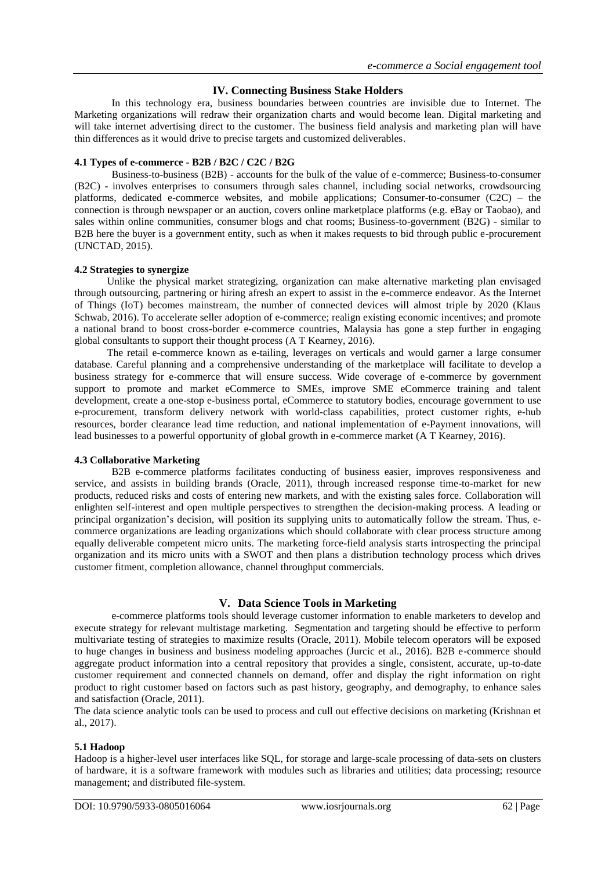# **IV. Connecting Business Stake Holders**

In this technology era, business boundaries between countries are invisible due to Internet. The Marketing organizations will redraw their organization charts and would become lean. Digital marketing and will take internet advertising direct to the customer. The business field analysis and marketing plan will have thin differences as it would drive to precise targets and customized deliverables.

## **4.1 Types of e-commerce - B2B / B2C / C2C / B2G**

Business-to-business (B2B) - accounts for the bulk of the value of e-commerce; Business-to-consumer (B2C) - involves enterprises to consumers through sales channel, including social networks, crowdsourcing platforms, dedicated e-commerce websites, and mobile applications; Consumer-to-consumer (C2C) – the connection is through newspaper or an auction, covers online marketplace platforms (e.g. eBay or Taobao), and sales within online communities, consumer blogs and chat rooms; Business-to-government (B2G) - similar to B2B here the buyer is a government entity, such as when it makes requests to bid through public e-procurement (UNCTAD, 2015).

## **4.2 Strategies to synergize**

Unlike the physical market strategizing, organization can make alternative marketing plan envisaged through outsourcing, partnering or hiring afresh an expert to assist in the e-commerce endeavor. As the Internet of Things (IoT) becomes mainstream, the number of connected devices will almost triple by 2020 (Klaus Schwab, 2016). To accelerate seller adoption of e-commerce; realign existing economic incentives; and promote a national brand to boost cross-border e-commerce countries, Malaysia has gone a step further in engaging global consultants to support their thought process (A T Kearney, 2016).

The retail e-commerce known as e-tailing, leverages on verticals and would garner a large consumer database. Careful planning and a comprehensive understanding of the marketplace will facilitate to develop a business strategy for e-commerce that will ensure success. Wide coverage of e-commerce by government support to promote and market eCommerce to SMEs, improve SME eCommerce training and talent development, create a one-stop e-business portal, eCommerce to statutory bodies, encourage government to use e-procurement, transform delivery network with world-class capabilities, protect customer rights, e-hub resources, border clearance lead time reduction, and national implementation of e-Payment innovations, will lead businesses to a powerful opportunity of global growth in e-commerce market (A T Kearney, 2016).

#### **4.3 Collaborative Marketing**

B2B e-commerce platforms facilitates conducting of business easier, improves responsiveness and service, and assists in building brands (Oracle, 2011), through increased response time-to-market for new products, reduced risks and costs of entering new markets, and with the existing sales force. Collaboration will enlighten self-interest and open multiple perspectives to strengthen the decision-making process. A leading or principal organization's decision, will position its supplying units to automatically follow the stream. Thus, ecommerce organizations are leading organizations which should collaborate with clear process structure among equally deliverable competent micro units. The marketing force-field analysis starts introspecting the principal organization and its micro units with a SWOT and then plans a distribution technology process which drives customer fitment, completion allowance, channel throughput commercials.

## **V. Data Science Tools in Marketing**

e-commerce platforms tools should leverage customer information to enable marketers to develop and execute strategy for relevant multistage marketing. Segmentation and targeting should be effective to perform multivariate testing of strategies to maximize results (Oracle, 2011). Mobile telecom operators will be exposed to huge changes in business and business modeling approaches (Jurcic et al., 2016). B2B e-commerce should aggregate product information into a central repository that provides a single, consistent, accurate, up-to-date customer requirement and connected channels on demand, offer and display the right information on right product to right customer based on factors such as past history, geography, and demography, to enhance sales and satisfaction (Oracle, 2011).

The data science analytic tools can be used to process and cull out effective decisions on marketing (Krishnan et al., 2017).

#### **5.1 Hadoop**

Hadoop is a higher-level user interfaces like SQL, for storage and large-scale processing of data-sets on clusters of hardware, it is a software framework with modules such as libraries and utilities; data processing; resource management; and distributed file-system.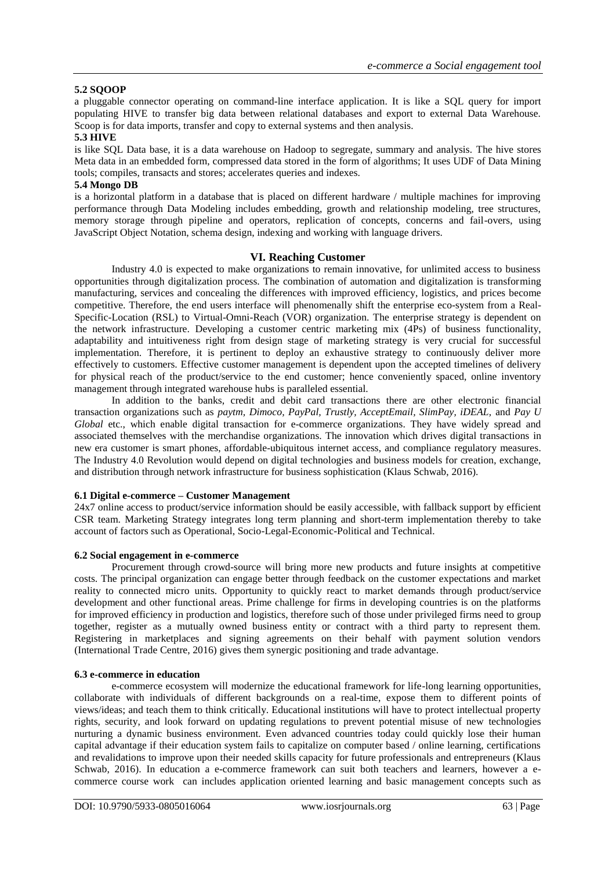## **5.2 SQOOP**

a pluggable connector operating on [command-line interface](http://en.wikipedia.org/wiki/Command-line_interface) application. It is like a SQL query for import populating HIVE to transfer big data between relational databases and export to external Data Warehouse. Scoop is for data imports, transfer and copy to external systems and then analysis.

## **5.3 HIVE**

is like SQL Data base, it is a data warehouse on Hadoop to segregate, summary and analysis. The hive stores Meta data in an embedded form, compressed data stored in the form of algorithms; It uses UDF of Data Mining tools; compiles, transacts and stores; accelerates queries and indexes.

#### **5.4 Mongo DB**

is a horizontal platform in a database that is placed on different hardware / multiple machines for improving performance through Data Modeling includes embedding, growth and relationship modeling, tree structures, memory storage through pipeline and operators, replication of concepts, concerns and fail-overs, using JavaScript Object Notation, schema design, indexing and working with language drivers.

#### **VI. Reaching Customer**

Industry 4.0 is expected to make organizations to remain innovative, for unlimited access to business opportunities through digitalization process. The combination of automation and digitalization is transforming manufacturing, services and concealing the differences with improved efficiency, logistics, and prices become competitive. Therefore, the end users interface will phenomenally shift the enterprise eco-system from a Real-Specific-Location (RSL) to Virtual-Omni-Reach (VOR) organization. The enterprise strategy is dependent on the network infrastructure. Developing a customer centric marketing mix (4Ps) of business functionality, adaptability and intuitiveness right from design stage of marketing strategy is very crucial for successful implementation. Therefore, it is pertinent to deploy an exhaustive strategy to continuously deliver more effectively to customers. Effective customer management is dependent upon the accepted timelines of delivery for physical reach of the product/service to the end customer; hence conveniently spaced, online inventory management through integrated warehouse hubs is paralleled essential.

In addition to the banks, credit and debit card transactions there are other electronic financial transaction organizations such as *paytm, Dimoco, PayPal, Trustly, AcceptEmail, SlimPay, iDEAL,* and *Pay U Global* etc., which enable digital transaction for e-commerce organizations. They have widely spread and associated themselves with the merchandise organizations. The innovation which drives digital transactions in new era customer is smart phones, affordable-ubiquitous internet access, and compliance regulatory measures. The Industry 4.0 Revolution would depend on digital technologies and business models for creation, exchange, and distribution through network infrastructure for business sophistication (Klaus Schwab, 2016).

#### **6.1 Digital e-commerce – Customer Management**

24x7 online access to product/service information should be easily accessible, with fallback support by efficient CSR team. Marketing Strategy integrates long term planning and short-term implementation thereby to take account of factors such as Operational, Socio-Legal-Economic-Political and Technical.

## **6.2 Social engagement in e-commerce**

Procurement through crowd-source will bring more new products and future insights at competitive costs. The principal organization can engage better through feedback on the customer expectations and market reality to connected micro units. Opportunity to quickly react to market demands through product/service development and other functional areas. Prime challenge for firms in developing countries is on the platforms for improved efficiency in production and logistics, therefore such of those under privileged firms need to group together, register as a mutually owned business entity or contract with a third party to represent them. Registering in marketplaces and signing agreements on their behalf with payment solution vendors (International Trade Centre, 2016) gives them synergic positioning and trade advantage.

#### **6.3 e-commerce in education**

e-commerce ecosystem will modernize the educational framework for life-long learning opportunities, collaborate with individuals of different backgrounds on a real-time, expose them to different points of views/ideas; and teach them to think critically. Educational institutions will have to protect intellectual property rights, security, and look forward on updating regulations to prevent potential misuse of new technologies nurturing a dynamic business environment. Even advanced countries today could quickly lose their human capital advantage if their education system fails to capitalize on computer based / online learning, certifications and revalidations to improve upon their needed skills capacity for future professionals and entrepreneurs (Klaus Schwab, 2016). In education a e-commerce framework can suit both teachers and learners, however a ecommerce course work can includes application oriented learning and basic management concepts such as